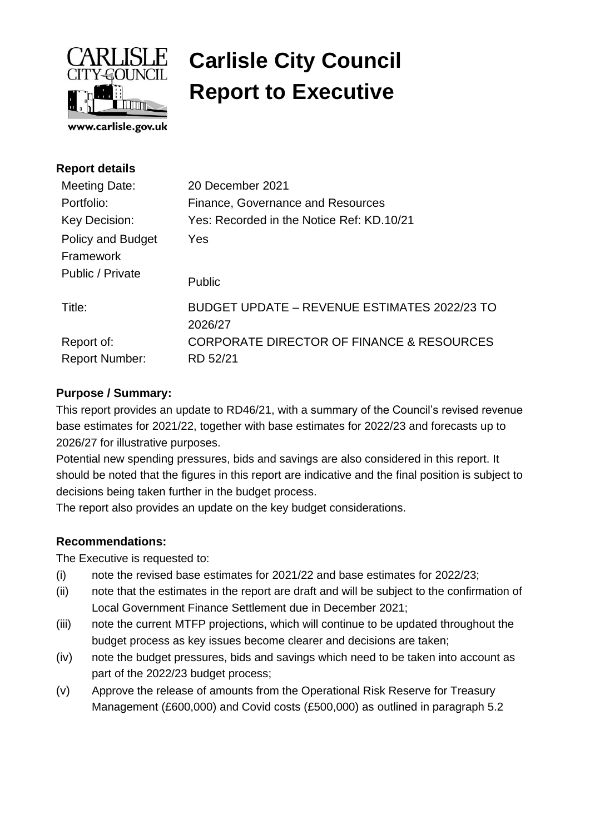

# **Carlisle City Council Report to Executive**

| <b>Report details</b>                 |                                                         |
|---------------------------------------|---------------------------------------------------------|
| Meeting Date:                         | 20 December 2021                                        |
| Portfolio:                            | Finance, Governance and Resources                       |
| Key Decision:                         | Yes: Recorded in the Notice Ref: KD.10/21               |
| <b>Policy and Budget</b><br>Framework | Yes                                                     |
| Public / Private                      | <b>Public</b>                                           |
| Title:                                | BUDGET UPDATE – REVENUE ESTIMATES 2022/23 TO<br>2026/27 |
| Report of:                            | CORPORATE DIRECTOR OF FINANCE & RESOURCES               |
| <b>Report Number:</b>                 | RD 52/21                                                |
|                                       |                                                         |

#### **Purpose / Summary:**

This report provides an update to RD46/21, with a summary of the Council's revised revenue base estimates for 2021/22, together with base estimates for 2022/23 and forecasts up to 2026/27 for illustrative purposes.

Potential new spending pressures, bids and savings are also considered in this report. It should be noted that the figures in this report are indicative and the final position is subject to decisions being taken further in the budget process.

The report also provides an update on the key budget considerations.

#### **Recommendations:**

The Executive is requested to:

- (i) note the revised base estimates for 2021/22 and base estimates for 2022/23;
- (ii) note that the estimates in the report are draft and will be subject to the confirmation of Local Government Finance Settlement due in December 2021;
- (iii) note the current MTFP projections, which will continue to be updated throughout the budget process as key issues become clearer and decisions are taken;
- (iv) note the budget pressures, bids and savings which need to be taken into account as part of the 2022/23 budget process;
- (v) Approve the release of amounts from the Operational Risk Reserve for Treasury Management (£600,000) and Covid costs (£500,000) as outlined in paragraph 5.2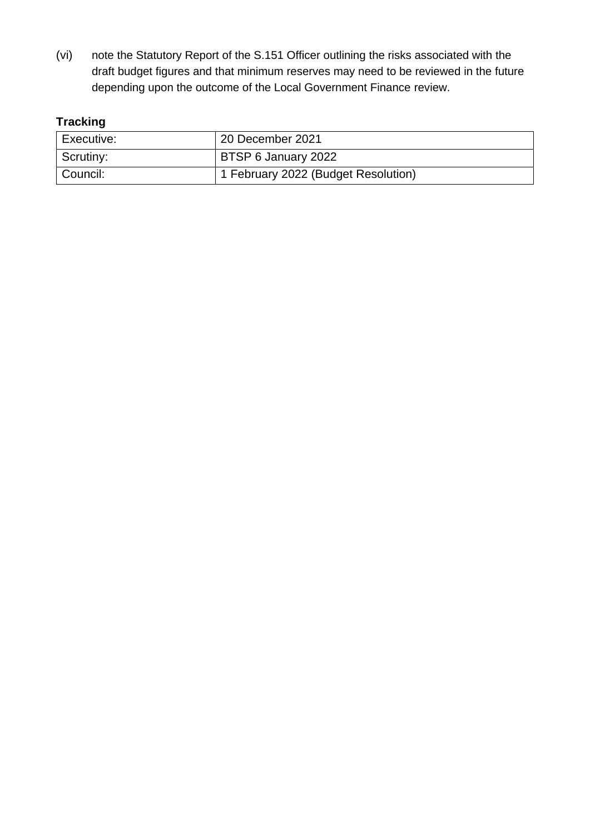(vi) note the Statutory Report of the S.151 Officer outlining the risks associated with the draft budget figures and that minimum reserves may need to be reviewed in the future depending upon the outcome of the Local Government Finance review.

# **Tracking**

| Executive: | 20 December 2021                    |
|------------|-------------------------------------|
| Scrutiny:  | BTSP 6 January 2022                 |
| Council:   | 1 February 2022 (Budget Resolution) |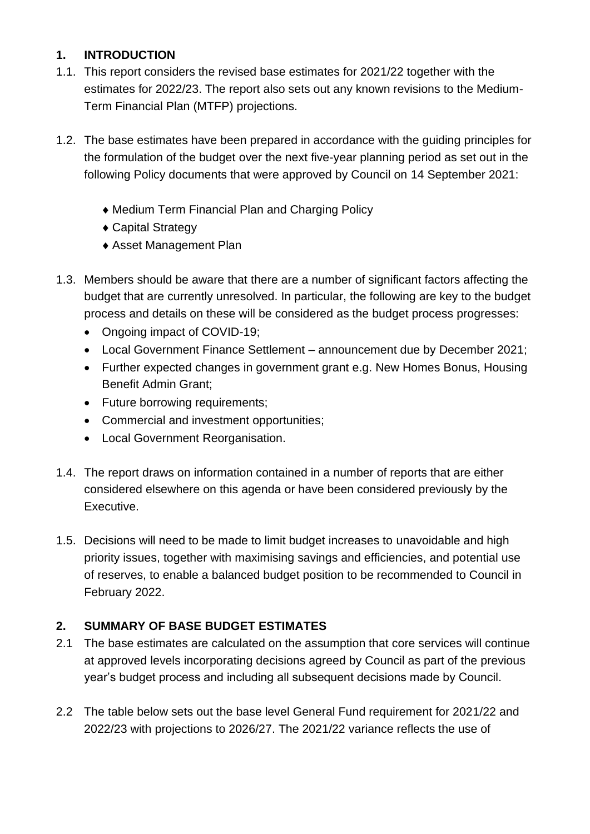# **1. INTRODUCTION**

- 1.1. This report considers the revised base estimates for 2021/22 together with the estimates for 2022/23. The report also sets out any known revisions to the Medium-Term Financial Plan (MTFP) projections.
- 1.2. The base estimates have been prepared in accordance with the guiding principles for the formulation of the budget over the next five-year planning period as set out in the following Policy documents that were approved by Council on 14 September 2021:
	- Medium Term Financial Plan and Charging Policy
	- Capital Strategy
	- Asset Management Plan
- 1.3. Members should be aware that there are a number of significant factors affecting the budget that are currently unresolved. In particular, the following are key to the budget process and details on these will be considered as the budget process progresses:
	- Ongoing impact of COVID-19;
	- Local Government Finance Settlement announcement due by December 2021;
	- Further expected changes in government grant e.g. New Homes Bonus, Housing Benefit Admin Grant;
	- Future borrowing requirements;
	- Commercial and investment opportunities;
	- Local Government Reorganisation.
- 1.4. The report draws on information contained in a number of reports that are either considered elsewhere on this agenda or have been considered previously by the Executive.
- 1.5. Decisions will need to be made to limit budget increases to unavoidable and high priority issues, together with maximising savings and efficiencies, and potential use of reserves, to enable a balanced budget position to be recommended to Council in February 2022.

# **2. SUMMARY OF BASE BUDGET ESTIMATES**

- 2.1 The base estimates are calculated on the assumption that core services will continue at approved levels incorporating decisions agreed by Council as part of the previous year's budget process and including all subsequent decisions made by Council.
- 2.2 The table below sets out the base level General Fund requirement for 2021/22 and 2022/23 with projections to 2026/27. The 2021/22 variance reflects the use of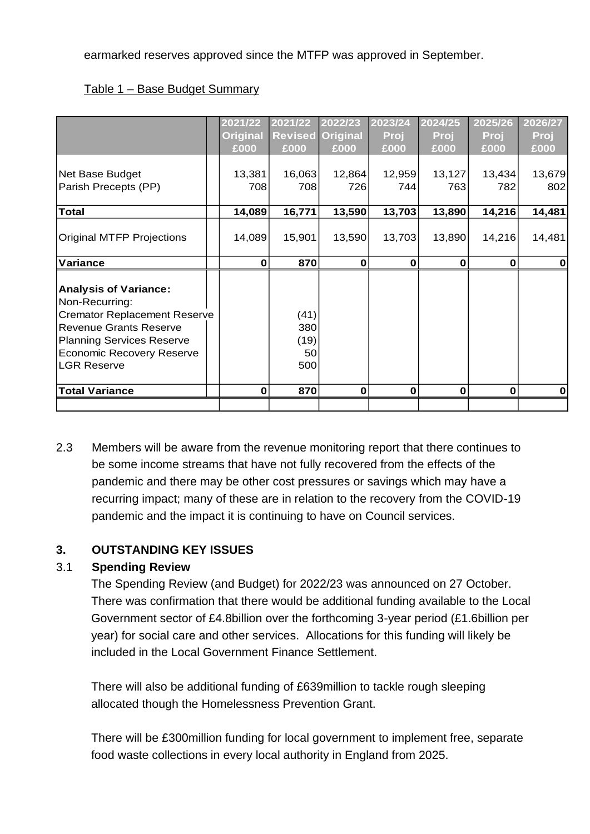earmarked reserves approved since the MTFP was approved in September.

| Table 1 – Base Budget Summary |
|-------------------------------|
|-------------------------------|

|                                                                                                                                                                                                                      | 2021/22<br><b>Original</b><br>£000 | 2021/22<br><b>Revised</b><br>£000 | 2022/23<br><b>Original</b><br>£000 | 2023/24<br>Proj<br>£000 | 2024/25<br>Proj<br>£000 | 2025/26<br>Proj<br>£000 | 2026/27<br>Proj<br>£000 |
|----------------------------------------------------------------------------------------------------------------------------------------------------------------------------------------------------------------------|------------------------------------|-----------------------------------|------------------------------------|-------------------------|-------------------------|-------------------------|-------------------------|
| Net Base Budget<br>Parish Precepts (PP)                                                                                                                                                                              | 13,381<br>708                      | 16,063<br>708                     | 12,864<br>726                      | 12,959<br>744           | 13,127<br>763           | 13,434<br>782           | 13,679<br>802           |
| <b>Total</b>                                                                                                                                                                                                         | 14,089                             | 16,771                            | 13,590                             | 13,703                  | 13,890                  | 14,216                  | 14,481                  |
| <b>Original MTFP Projections</b>                                                                                                                                                                                     | 14,089                             | 15,901                            | 13,590                             | 13,703                  | 13,890                  | 14,216                  | 14,481                  |
| Variance                                                                                                                                                                                                             | $\bf{0}$                           | 870                               | $\bf{0}$                           | $\mathbf 0$             | $\bf{0}$                | $\mathbf 0$             | $\mathbf 0$             |
| <b>Analysis of Variance:</b><br>Non-Recurring:<br><b>Cremator Replacement Reserve</b><br><b>Revenue Grants Reserve</b><br><b>Planning Services Reserve</b><br><b>Economic Recovery Reserve</b><br><b>LGR Reserve</b> |                                    | (41)<br>380<br>(19)<br>50<br>500  |                                    |                         |                         |                         |                         |
| <b>Total Variance</b>                                                                                                                                                                                                | $\bf{0}$                           | 870                               | $\bf{0}$                           | $\mathbf 0$             | $\bf{0}$                | 0                       | $\bf{0}$                |
|                                                                                                                                                                                                                      |                                    |                                   |                                    |                         |                         |                         |                         |

2.3 Members will be aware from the revenue monitoring report that there continues to be some income streams that have not fully recovered from the effects of the pandemic and there may be other cost pressures or savings which may have a recurring impact; many of these are in relation to the recovery from the COVID-19 pandemic and the impact it is continuing to have on Council services.

#### **3. OUTSTANDING KEY ISSUES**

#### 3.1 **Spending Review**

The Spending Review (and Budget) for 2022/23 was announced on 27 October. There was confirmation that there would be additional funding available to the Local Government sector of £4.8billion over the forthcoming 3-year period (£1.6billion per year) for social care and other services. Allocations for this funding will likely be included in the Local Government Finance Settlement.

There will also be additional funding of £639million to tackle rough sleeping allocated though the Homelessness Prevention Grant.

There will be £300million funding for local government to implement free, separate food waste collections in every local authority in England from 2025.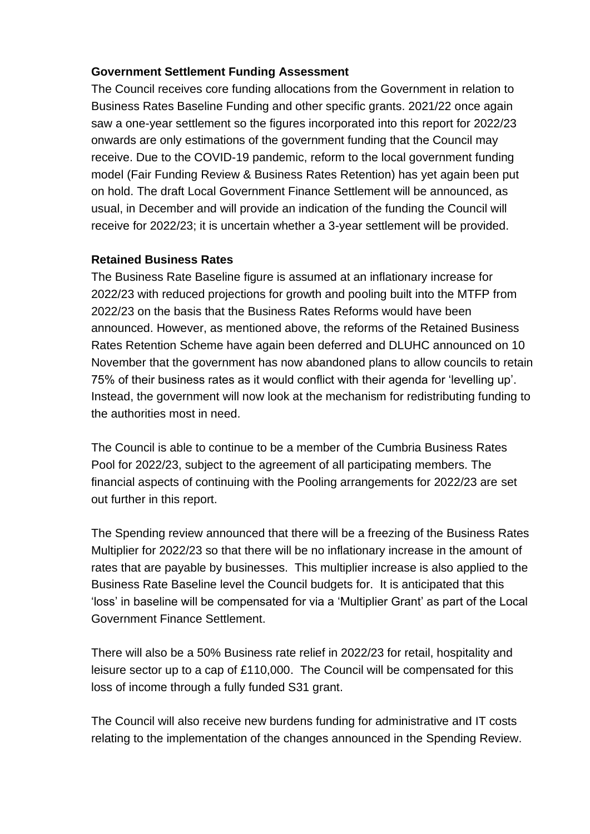#### **Government Settlement Funding Assessment**

The Council receives core funding allocations from the Government in relation to Business Rates Baseline Funding and other specific grants. 2021/22 once again saw a one-year settlement so the figures incorporated into this report for 2022/23 onwards are only estimations of the government funding that the Council may receive. Due to the COVID-19 pandemic, reform to the local government funding model (Fair Funding Review & Business Rates Retention) has yet again been put on hold. The draft Local Government Finance Settlement will be announced, as usual, in December and will provide an indication of the funding the Council will receive for 2022/23; it is uncertain whether a 3-year settlement will be provided.

#### **Retained Business Rates**

The Business Rate Baseline figure is assumed at an inflationary increase for 2022/23 with reduced projections for growth and pooling built into the MTFP from 2022/23 on the basis that the Business Rates Reforms would have been announced. However, as mentioned above, the reforms of the Retained Business Rates Retention Scheme have again been deferred and DLUHC announced on 10 November that the government has now abandoned plans to allow councils to retain 75% of their business rates as it would conflict with their agenda for 'levelling up'. Instead, the government will now look at the mechanism for redistributing funding to the authorities most in need.

The Council is able to continue to be a member of the Cumbria Business Rates Pool for 2022/23, subject to the agreement of all participating members. The financial aspects of continuing with the Pooling arrangements for 2022/23 are set out further in this report.

The Spending review announced that there will be a freezing of the Business Rates Multiplier for 2022/23 so that there will be no inflationary increase in the amount of rates that are payable by businesses. This multiplier increase is also applied to the Business Rate Baseline level the Council budgets for. It is anticipated that this 'loss' in baseline will be compensated for via a 'Multiplier Grant' as part of the Local Government Finance Settlement.

There will also be a 50% Business rate relief in 2022/23 for retail, hospitality and leisure sector up to a cap of £110,000. The Council will be compensated for this loss of income through a fully funded S31 grant.

The Council will also receive new burdens funding for administrative and IT costs relating to the implementation of the changes announced in the Spending Review.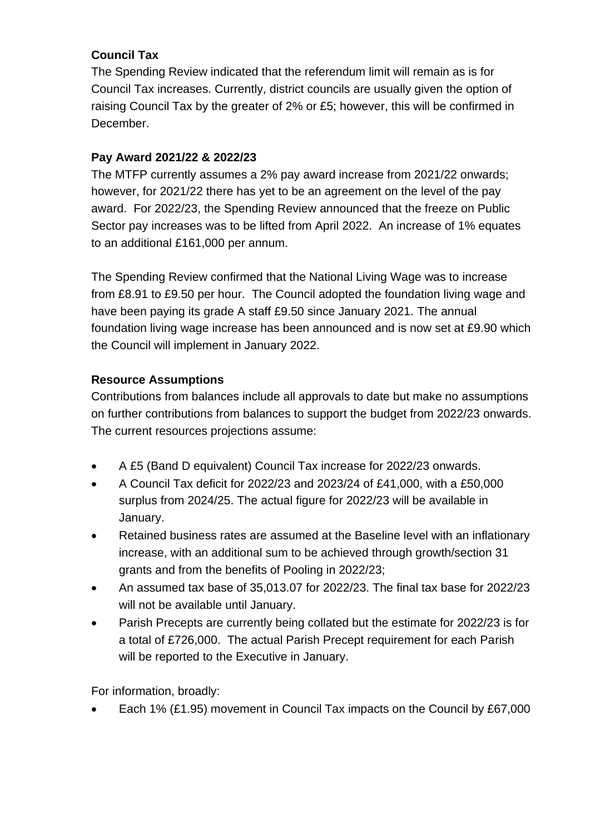# **Council Tax**

The Spending Review indicated that the referendum limit will remain as is for Council Tax increases. Currently, district councils are usually given the option of raising Council Tax by the greater of 2% or £5; however, this will be confirmed in December.

# **Pay Award 2021/22 & 2022/23**

The MTFP currently assumes a 2% pay award increase from 2021/22 onwards; however, for 2021/22 there has yet to be an agreement on the level of the pay award. For 2022/23, the Spending Review announced that the freeze on Public Sector pay increases was to be lifted from April 2022. An increase of 1% equates to an additional £161,000 per annum.

The Spending Review confirmed that the National Living Wage was to increase from £8.91 to £9.50 per hour. The Council adopted the foundation living wage and have been paying its grade A staff £9.50 since January 2021. The annual foundation living wage increase has been announced and is now set at £9.90 which the Council will implement in January 2022.

# **Resource Assumptions**

Contributions from balances include all approvals to date but make no assumptions on further contributions from balances to support the budget from 2022/23 onwards. The current resources projections assume:

- A £5 (Band D equivalent) Council Tax increase for 2022/23 onwards.
- A Council Tax deficit for 2022/23 and 2023/24 of £41,000, with a £50,000 surplus from 2024/25. The actual figure for 2022/23 will be available in January.
- Retained business rates are assumed at the Baseline level with an inflationary increase, with an additional sum to be achieved through growth/section 31 grants and from the benefits of Pooling in 2022/23;
- An assumed tax base of 35,013.07 for 2022/23. The final tax base for 2022/23 will not be available until January.
- Parish Precepts are currently being collated but the estimate for 2022/23 is for a total of £726,000. The actual Parish Precept requirement for each Parish will be reported to the Executive in January.

For information, broadly:

• Each 1% (£1.95) movement in Council Tax impacts on the Council by £67,000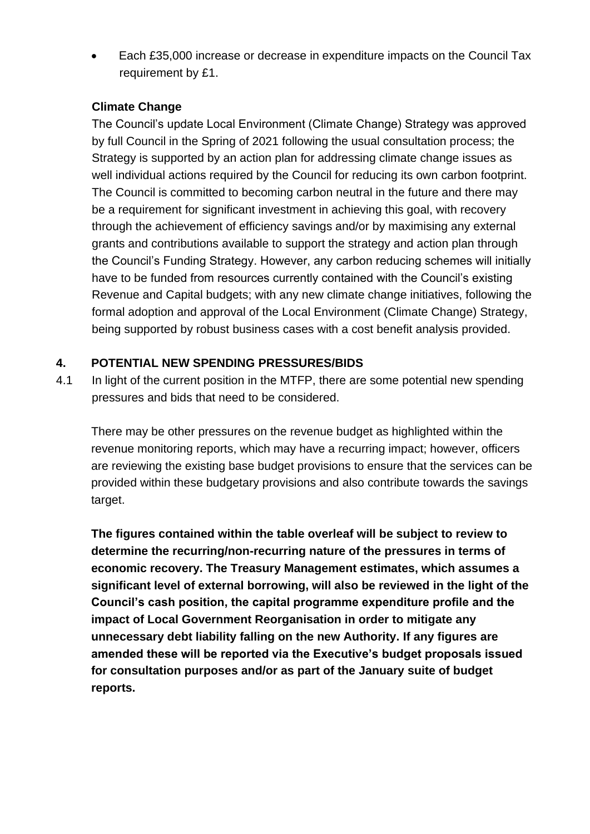• Each £35,000 increase or decrease in expenditure impacts on the Council Tax requirement by £1.

#### **Climate Change**

The Council's update Local Environment (Climate Change) Strategy was approved by full Council in the Spring of 2021 following the usual consultation process; the Strategy is supported by an action plan for addressing climate change issues as well individual actions required by the Council for reducing its own carbon footprint. The Council is committed to becoming carbon neutral in the future and there may be a requirement for significant investment in achieving this goal, with recovery through the achievement of efficiency savings and/or by maximising any external grants and contributions available to support the strategy and action plan through the Council's Funding Strategy. However, any carbon reducing schemes will initially have to be funded from resources currently contained with the Council's existing Revenue and Capital budgets; with any new climate change initiatives, following the formal adoption and approval of the Local Environment (Climate Change) Strategy, being supported by robust business cases with a cost benefit analysis provided.

# **4. POTENTIAL NEW SPENDING PRESSURES/BIDS**

4.1 In light of the current position in the MTFP, there are some potential new spending pressures and bids that need to be considered.

There may be other pressures on the revenue budget as highlighted within the revenue monitoring reports, which may have a recurring impact; however, officers are reviewing the existing base budget provisions to ensure that the services can be provided within these budgetary provisions and also contribute towards the savings target.

**The figures contained within the table overleaf will be subject to review to determine the recurring/non-recurring nature of the pressures in terms of economic recovery. The Treasury Management estimates, which assumes a significant level of external borrowing, will also be reviewed in the light of the Council's cash position, the capital programme expenditure profile and the impact of Local Government Reorganisation in order to mitigate any unnecessary debt liability falling on the new Authority. If any figures are amended these will be reported via the Executive's budget proposals issued for consultation purposes and/or as part of the January suite of budget reports.**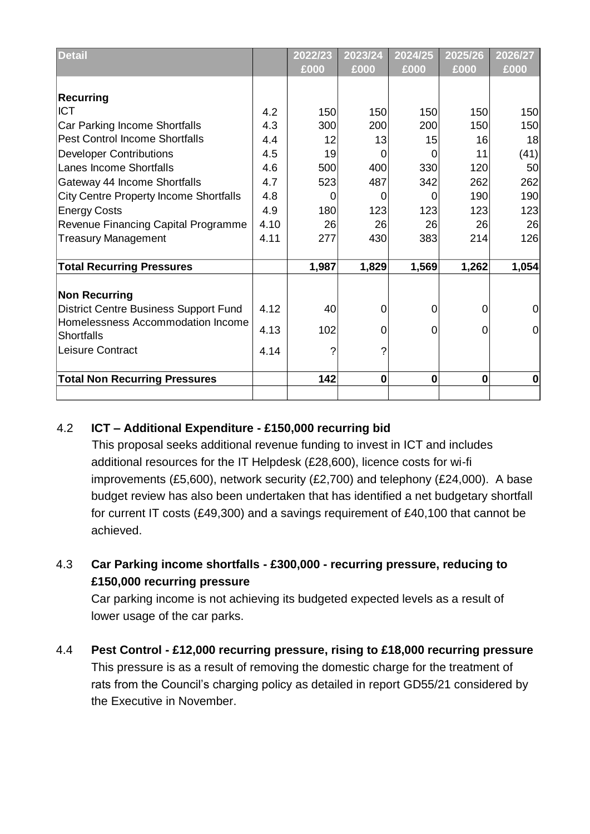| <b>Detail</b>                                 |      | 2022/23 | 2023/24  | 2024/25        | 2025/26     | 2026/27        |
|-----------------------------------------------|------|---------|----------|----------------|-------------|----------------|
|                                               |      | £000    | £000     | £000           | £000        | £000           |
|                                               |      |         |          |                |             |                |
| <b>Recurring</b>                              |      |         |          |                |             |                |
| <b>ICT</b>                                    | 4.2  | 150     | 150      | 150            | 150         | 150            |
| Car Parking Income Shortfalls                 | 4.3  | 300     | 200      | 200            | 150         | 150            |
| <b>Pest Control Income Shortfalls</b>         | 4.4  | 12      | 13       | 15             | 16          | 18             |
| <b>Developer Contributions</b>                | 4.5  | 19      | 0        | 0              | 11          | (41)           |
| Lanes Income Shortfalls                       | 4.6  | 500     | 400      | 330            | 120         | 50             |
| Gateway 44 Income Shortfalls                  | 4.7  | 523     | 487      | 342            | 262         | 262            |
| <b>City Centre Property Income Shortfalls</b> | 4.8  | 0       | 0        | 0              | 190         | 190            |
| <b>Energy Costs</b>                           | 4.9  | 180     | 123      | 123            | 123         | 123            |
| Revenue Financing Capital Programme           | 4.10 | 26      | 26       | 26             | 26          | 26             |
| <b>Treasury Management</b>                    | 4.11 | 277     | 430      | 383            | 214         | 126            |
|                                               |      |         |          |                |             |                |
| <b>Total Recurring Pressures</b>              |      | 1,987   | 1,829    | 1,569          | 1,262       | 1,054          |
|                                               |      |         |          |                |             |                |
| <b>Non Recurring</b>                          |      |         |          |                |             |                |
| <b>District Centre Business Support Fund</b>  | 4.12 | 40      | 0        | 0              | 0           | 0              |
| Homelessness Accommodation Income             | 4.13 | 102     | 0        | $\overline{0}$ | 0           | $\overline{0}$ |
| <b>Shortfalls</b>                             |      |         |          |                |             |                |
| Leisure Contract                              | 4.14 | 7       | ?        |                |             |                |
|                                               |      |         | $\bf{0}$ |                | $\mathbf 0$ | $\bf{0}$       |
| <b>Total Non Recurring Pressures</b>          |      | 142     |          | $\mathbf 0$    |             |                |
|                                               |      |         |          |                |             |                |

# 4.2 **ICT – Additional Expenditure - £150,000 recurring bid**

This proposal seeks additional revenue funding to invest in ICT and includes additional resources for the IT Helpdesk (£28,600), licence costs for wi-fi improvements (£5,600), network security (£2,700) and telephony (£24,000). A base budget review has also been undertaken that has identified a net budgetary shortfall for current IT costs (£49,300) and a savings requirement of £40,100 that cannot be achieved.

# 4.3 **Car Parking income shortfalls - £300,000 - recurring pressure, reducing to £150,000 recurring pressure**

Car parking income is not achieving its budgeted expected levels as a result of lower usage of the car parks.

4.4 **Pest Control - £12,000 recurring pressure, rising to £18,000 recurring pressure** This pressure is as a result of removing the domestic charge for the treatment of rats from the Council's charging policy as detailed in report GD55/21 considered by the Executive in November.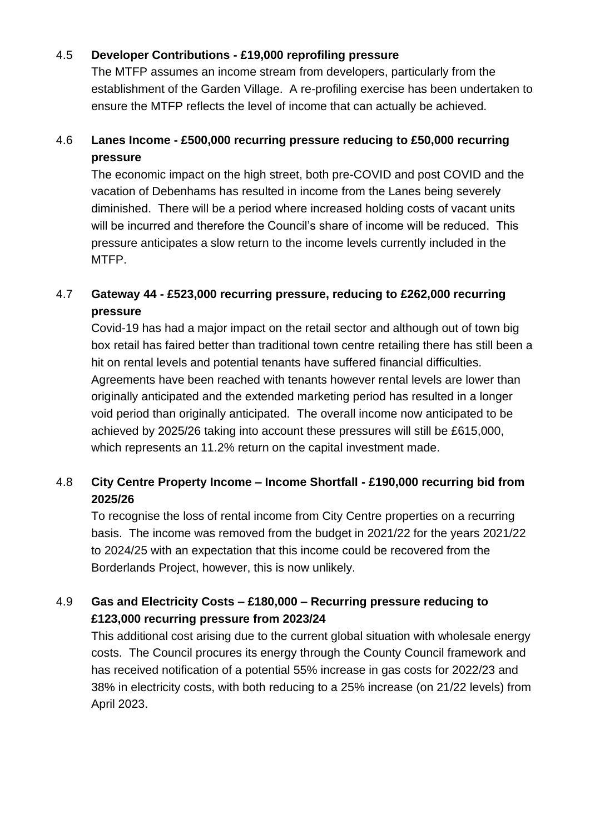#### 4.5 **Developer Contributions - £19,000 reprofiling pressure**

The MTFP assumes an income stream from developers, particularly from the establishment of the Garden Village. A re-profiling exercise has been undertaken to ensure the MTFP reflects the level of income that can actually be achieved.

# 4.6 **Lanes Income - £500,000 recurring pressure reducing to £50,000 recurring pressure**

The economic impact on the high street, both pre-COVID and post COVID and the vacation of Debenhams has resulted in income from the Lanes being severely diminished. There will be a period where increased holding costs of vacant units will be incurred and therefore the Council's share of income will be reduced. This pressure anticipates a slow return to the income levels currently included in the MTFP.

# 4.7 **Gateway 44 - £523,000 recurring pressure, reducing to £262,000 recurring pressure**

Covid-19 has had a major impact on the retail sector and although out of town big box retail has faired better than traditional town centre retailing there has still been a hit on rental levels and potential tenants have suffered financial difficulties. Agreements have been reached with tenants however rental levels are lower than originally anticipated and the extended marketing period has resulted in a longer void period than originally anticipated. The overall income now anticipated to be achieved by 2025/26 taking into account these pressures will still be £615,000, which represents an 11.2% return on the capital investment made.

# 4.8 **City Centre Property Income – Income Shortfall - £190,000 recurring bid from 2025/26**

To recognise the loss of rental income from City Centre properties on a recurring basis. The income was removed from the budget in 2021/22 for the years 2021/22 to 2024/25 with an expectation that this income could be recovered from the Borderlands Project, however, this is now unlikely.

# 4.9 **Gas and Electricity Costs – £180,000 – Recurring pressure reducing to £123,000 recurring pressure from 2023/24**

This additional cost arising due to the current global situation with wholesale energy costs. The Council procures its energy through the County Council framework and has received notification of a potential 55% increase in gas costs for 2022/23 and 38% in electricity costs, with both reducing to a 25% increase (on 21/22 levels) from April 2023.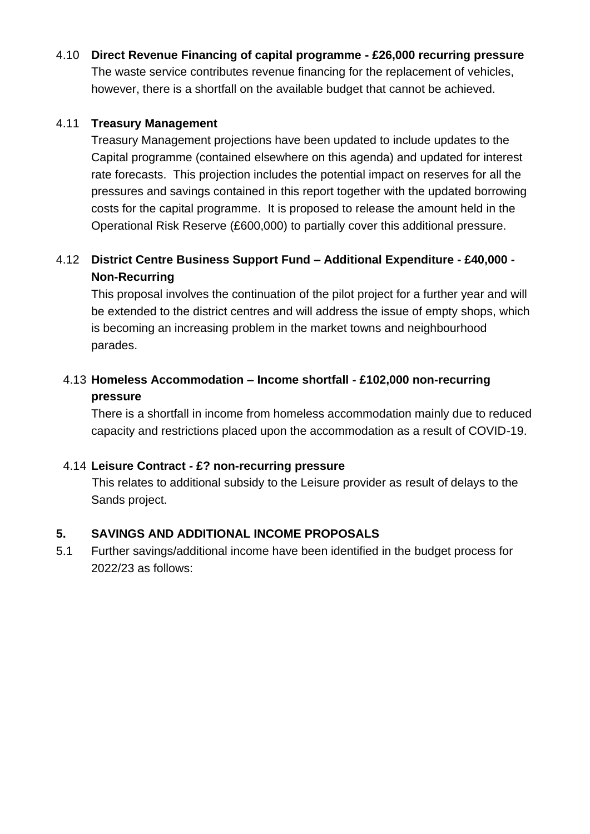4.10 **Direct Revenue Financing of capital programme - £26,000 recurring pressure** The waste service contributes revenue financing for the replacement of vehicles, however, there is a shortfall on the available budget that cannot be achieved.

#### 4.11 **Treasury Management**

Treasury Management projections have been updated to include updates to the Capital programme (contained elsewhere on this agenda) and updated for interest rate forecasts. This projection includes the potential impact on reserves for all the pressures and savings contained in this report together with the updated borrowing costs for the capital programme. It is proposed to release the amount held in the Operational Risk Reserve (£600,000) to partially cover this additional pressure.

# 4.12 **District Centre Business Support Fund – Additional Expenditure - £40,000 - Non-Recurring**

This proposal involves the continuation of the pilot project for a further year and will be extended to the district centres and will address the issue of empty shops, which is becoming an increasing problem in the market towns and neighbourhood parades.

# 4.13 **Homeless Accommodation – Income shortfall - £102,000 non-recurring pressure**

There is a shortfall in income from homeless accommodation mainly due to reduced capacity and restrictions placed upon the accommodation as a result of COVID-19.

#### 4.14 **Leisure Contract - £? non-recurring pressure**

This relates to additional subsidy to the Leisure provider as result of delays to the Sands project.

# **5. SAVINGS AND ADDITIONAL INCOME PROPOSALS**

5.1 Further savings/additional income have been identified in the budget process for 2022/23 as follows: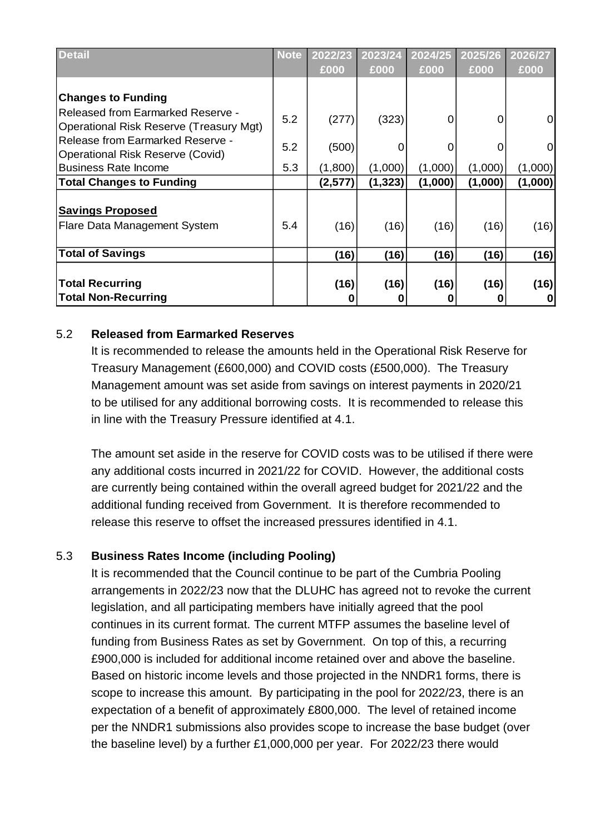| <b>Detail</b>                                                                | <b>Note</b> | 2022/23 | 2023/24  | 2024/25 | 2025/26 | 2026/27 |
|------------------------------------------------------------------------------|-------------|---------|----------|---------|---------|---------|
|                                                                              |             | £000    | £000     | £000    | £000    | £000    |
| <b>Changes to Funding</b>                                                    |             |         |          |         |         |         |
| Released from Earmarked Reserve -<br>Operational Risk Reserve (Treasury Mgt) | 5.2         | (277)   | (323)    | 0       | 0       | 0       |
| Release from Earmarked Reserve -<br>Operational Risk Reserve (Covid)         | 5.2         | (500)   | 0        |         | 0       | 0       |
| <b>Business Rate Income</b>                                                  | 5.3         | (1,800) | (1,000)  | (1,000) | (1,000) | (1,000) |
| <b>Total Changes to Funding</b>                                              |             | (2,577) | (1, 323) | (1,000) | (1,000) | (1,000) |
| <b>Savings Proposed</b>                                                      |             |         |          |         |         |         |
| Flare Data Management System                                                 | 5.4         | (16)    | (16)     | (16)    | (16)    | (16)    |
| <b>Total of Savings</b>                                                      |             | (16)    | (16)     | (16)    | (16)    | (16)    |
|                                                                              |             |         |          |         |         |         |
| <b>Total Recurring</b>                                                       |             | (16)    | (16)     | (16)    | (16)    | (16)    |
| <b>Total Non-Recurring</b>                                                   |             | 0       | O        |         | 0       |         |

#### 5.2 **Released from Earmarked Reserves**

It is recommended to release the amounts held in the Operational Risk Reserve for Treasury Management (£600,000) and COVID costs (£500,000). The Treasury Management amount was set aside from savings on interest payments in 2020/21 to be utilised for any additional borrowing costs. It is recommended to release this in line with the Treasury Pressure identified at 4.1.

The amount set aside in the reserve for COVID costs was to be utilised if there were any additional costs incurred in 2021/22 for COVID. However, the additional costs are currently being contained within the overall agreed budget for 2021/22 and the additional funding received from Government. It is therefore recommended to release this reserve to offset the increased pressures identified in 4.1.

#### 5.3 **Business Rates Income (including Pooling)**

It is recommended that the Council continue to be part of the Cumbria Pooling arrangements in 2022/23 now that the DLUHC has agreed not to revoke the current legislation, and all participating members have initially agreed that the pool continues in its current format. The current MTFP assumes the baseline level of funding from Business Rates as set by Government. On top of this, a recurring £900,000 is included for additional income retained over and above the baseline. Based on historic income levels and those projected in the NNDR1 forms, there is scope to increase this amount. By participating in the pool for 2022/23, there is an expectation of a benefit of approximately £800,000. The level of retained income per the NNDR1 submissions also provides scope to increase the base budget (over the baseline level) by a further £1,000,000 per year. For 2022/23 there would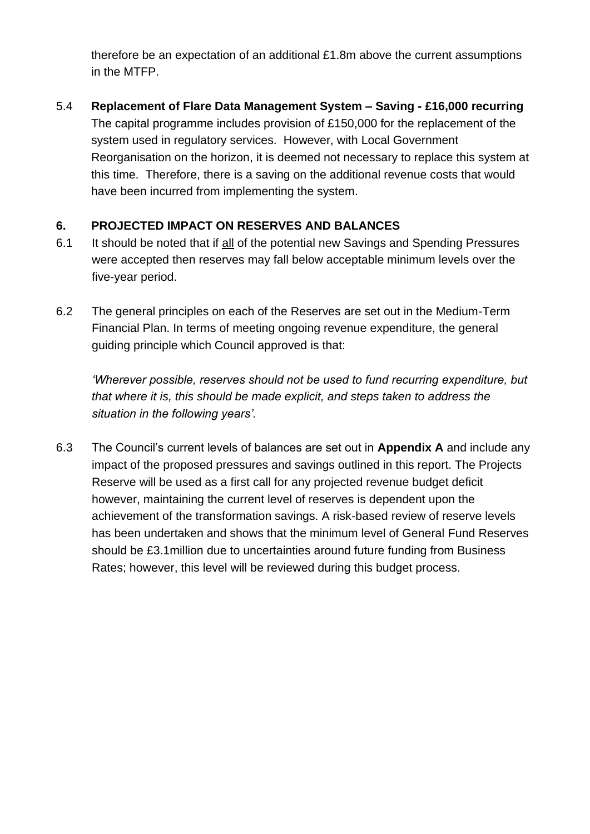therefore be an expectation of an additional £1.8m above the current assumptions in the MTFP.

5.4 **Replacement of Flare Data Management System – Saving - £16,000 recurring** The capital programme includes provision of £150,000 for the replacement of the system used in regulatory services. However, with Local Government Reorganisation on the horizon, it is deemed not necessary to replace this system at this time. Therefore, there is a saving on the additional revenue costs that would have been incurred from implementing the system.

# **6. PROJECTED IMPACT ON RESERVES AND BALANCES**

- 6.1 It should be noted that if all of the potential new Savings and Spending Pressures were accepted then reserves may fall below acceptable minimum levels over the five-year period.
- 6.2 The general principles on each of the Reserves are set out in the Medium-Term Financial Plan. In terms of meeting ongoing revenue expenditure, the general guiding principle which Council approved is that:

*'Wherever possible, reserves should not be used to fund recurring expenditure, but that where it is, this should be made explicit, and steps taken to address the situation in the following years'.*

6.3 The Council's current levels of balances are set out in **Appendix A** and include any impact of the proposed pressures and savings outlined in this report. The Projects Reserve will be used as a first call for any projected revenue budget deficit however, maintaining the current level of reserves is dependent upon the achievement of the transformation savings. A risk-based review of reserve levels has been undertaken and shows that the minimum level of General Fund Reserves should be £3.1million due to uncertainties around future funding from Business Rates; however, this level will be reviewed during this budget process.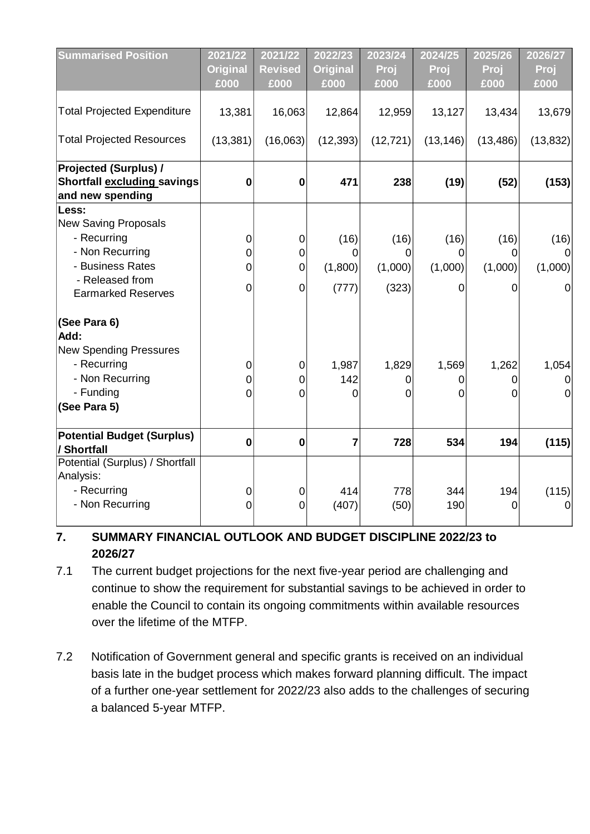| <b>Summarised Position</b>         | 2021/22<br><b>Original</b> | 2021/22<br><b>Revised</b> | 2022/23<br><b>Original</b> | 2023/24<br>Proj | 2024/25<br>Proj | 2025/26<br>Proj | 2026/27<br>Proj |
|------------------------------------|----------------------------|---------------------------|----------------------------|-----------------|-----------------|-----------------|-----------------|
|                                    | £000                       | £000                      | £000                       | £000            | £000            | £000            | £000            |
| <b>Total Projected Expenditure</b> | 13,381                     | 16,063                    | 12,864                     | 12,959          | 13,127          | 13,434          | 13,679          |
| <b>Total Projected Resources</b>   | (13, 381)                  | (16,063)                  | (12, 393)                  | (12, 721)       | (13, 146)       | (13, 486)       | (13, 832)       |
| <b>Projected (Surplus) /</b>       |                            |                           |                            |                 |                 |                 |                 |
| <b>Shortfall excluding savings</b> | $\bf{0}$                   | 0                         | 471                        | 238             | (19)            | (52)            | (153)           |
| and new spending                   |                            |                           |                            |                 |                 |                 |                 |
| Less:                              |                            |                           |                            |                 |                 |                 |                 |
| <b>New Saving Proposals</b>        |                            |                           |                            |                 |                 |                 |                 |
| - Recurring                        | 0                          | 0                         | (16)                       | (16)            | (16)            | (16)            | (16)            |
| - Non Recurring                    | 0                          | 0                         | 0                          | 0               | 0               | 0               |                 |
| - Business Rates                   | 0                          | 0                         | (1,800)                    | (1,000)         | (1,000)         | (1,000)         | (1,000)         |
| - Released from                    |                            |                           |                            |                 |                 |                 |                 |
| <b>Earmarked Reserves</b>          | 0                          | $\mathbf 0$               | (777)                      | (323)           | 0               | 0               | 0               |
| (See Para 6)                       |                            |                           |                            |                 |                 |                 |                 |
| Add:                               |                            |                           |                            |                 |                 |                 |                 |
| <b>New Spending Pressures</b>      |                            |                           |                            |                 |                 |                 |                 |
| - Recurring                        | 0                          | 0                         | 1,987                      | 1,829           | 1,569           | 1,262           | 1,054           |
| - Non Recurring                    | 0                          | 0                         | 142                        | 0               | 0               | 0               | 0               |
| - Funding                          | 0                          | 0                         | 0                          | 0               | 0               | 0               | $\Omega$        |
| (See Para 5)                       |                            |                           |                            |                 |                 |                 |                 |
| <b>Potential Budget (Surplus)</b>  | $\bf{0}$                   | $\bf{0}$                  | $\overline{7}$             | 728             | 534             | 194             | (115)           |
| / Shortfall                        |                            |                           |                            |                 |                 |                 |                 |
| Potential (Surplus) / Shortfall    |                            |                           |                            |                 |                 |                 |                 |
| Analysis:                          |                            |                           |                            |                 |                 |                 |                 |
| - Recurring                        | 0                          | 0                         | 414                        | 778             | 344             | 194             | (115)           |
| - Non Recurring                    | $\mathbf 0$                | $\overline{0}$            | (407)                      | (50)            | 190             | 0               | 0               |
|                                    |                            |                           |                            |                 |                 |                 |                 |

# **7. SUMMARY FINANCIAL OUTLOOK AND BUDGET DISCIPLINE 2022/23 to 2026/27**

- 7.1 The current budget projections for the next five-year period are challenging and continue to show the requirement for substantial savings to be achieved in order to enable the Council to contain its ongoing commitments within available resources over the lifetime of the MTFP.
- 7.2 Notification of Government general and specific grants is received on an individual basis late in the budget process which makes forward planning difficult. The impact of a further one-year settlement for 2022/23 also adds to the challenges of securing a balanced 5-year MTFP.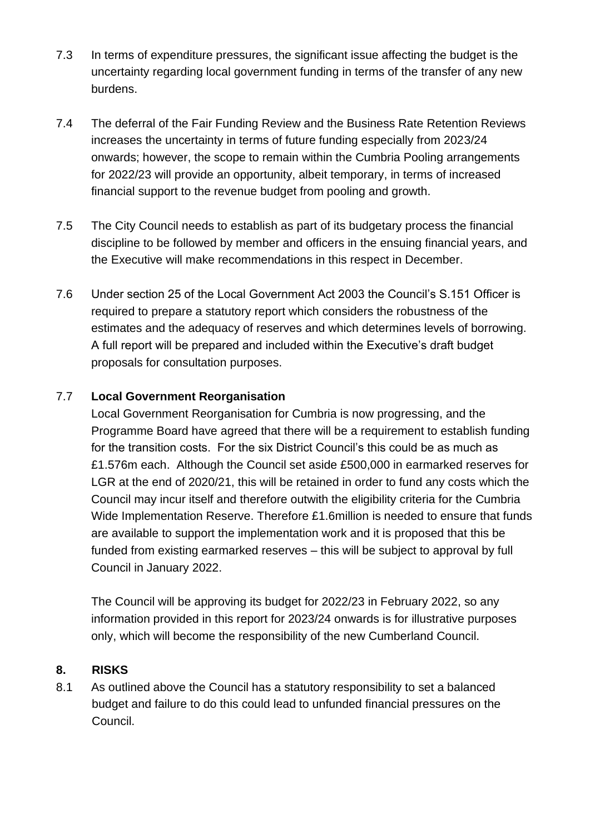- 7.3 In terms of expenditure pressures, the significant issue affecting the budget is the uncertainty regarding local government funding in terms of the transfer of any new burdens.
- 7.4 The deferral of the Fair Funding Review and the Business Rate Retention Reviews increases the uncertainty in terms of future funding especially from 2023/24 onwards; however, the scope to remain within the Cumbria Pooling arrangements for 2022/23 will provide an opportunity, albeit temporary, in terms of increased financial support to the revenue budget from pooling and growth.
- 7.5 The City Council needs to establish as part of its budgetary process the financial discipline to be followed by member and officers in the ensuing financial years, and the Executive will make recommendations in this respect in December.
- 7.6 Under section 25 of the Local Government Act 2003 the Council's S.151 Officer is required to prepare a statutory report which considers the robustness of the estimates and the adequacy of reserves and which determines levels of borrowing. A full report will be prepared and included within the Executive's draft budget proposals for consultation purposes.

# 7.7 **Local Government Reorganisation**

Local Government Reorganisation for Cumbria is now progressing, and the Programme Board have agreed that there will be a requirement to establish funding for the transition costs. For the six District Council's this could be as much as £1.576m each. Although the Council set aside £500,000 in earmarked reserves for LGR at the end of 2020/21, this will be retained in order to fund any costs which the Council may incur itself and therefore outwith the eligibility criteria for the Cumbria Wide Implementation Reserve. Therefore £1.6million is needed to ensure that funds are available to support the implementation work and it is proposed that this be funded from existing earmarked reserves – this will be subject to approval by full Council in January 2022.

The Council will be approving its budget for 2022/23 in February 2022, so any information provided in this report for 2023/24 onwards is for illustrative purposes only, which will become the responsibility of the new Cumberland Council.

#### **8. RISKS**

8.1 As outlined above the Council has a statutory responsibility to set a balanced budget and failure to do this could lead to unfunded financial pressures on the Council.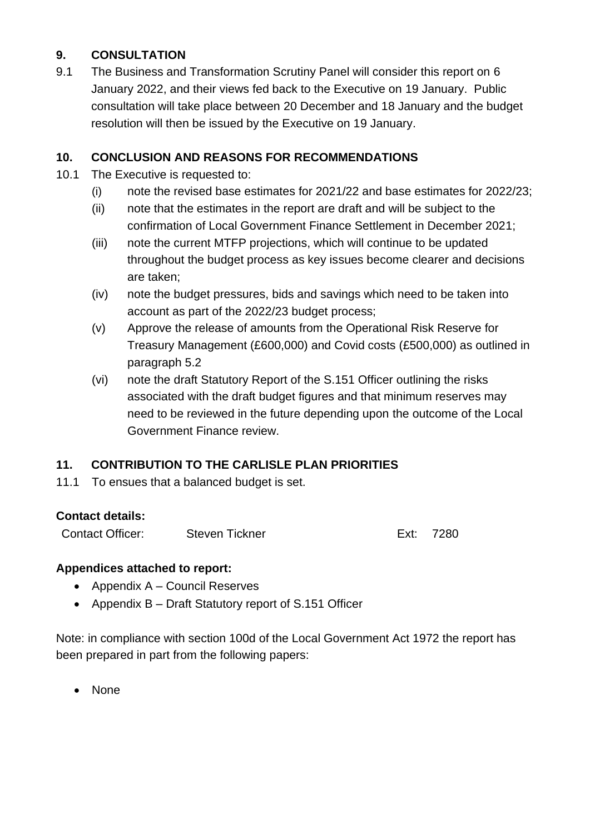# **9. CONSULTATION**

9.1 The Business and Transformation Scrutiny Panel will consider this report on 6 January 2022, and their views fed back to the Executive on 19 January. Public consultation will take place between 20 December and 18 January and the budget resolution will then be issued by the Executive on 19 January.

#### **10. CONCLUSION AND REASONS FOR RECOMMENDATIONS**

- 10.1 The Executive is requested to:
	- (i) note the revised base estimates for 2021/22 and base estimates for 2022/23;
	- (ii) note that the estimates in the report are draft and will be subject to the confirmation of Local Government Finance Settlement in December 2021;
	- (iii) note the current MTFP projections, which will continue to be updated throughout the budget process as key issues become clearer and decisions are taken;
	- (iv) note the budget pressures, bids and savings which need to be taken into account as part of the 2022/23 budget process;
	- (v) Approve the release of amounts from the Operational Risk Reserve for Treasury Management (£600,000) and Covid costs (£500,000) as outlined in paragraph 5.2
	- (vi) note the draft Statutory Report of the S.151 Officer outlining the risks associated with the draft budget figures and that minimum reserves may need to be reviewed in the future depending upon the outcome of the Local Government Finance review.

# **11. CONTRIBUTION TO THE CARLISLE PLAN PRIORITIES**

11.1 To ensues that a balanced budget is set.

#### **Contact details:**

Contact Officer: Steven Tickner Ext: 7280

#### **Appendices attached to report:**

- Appendix A Council Reserves
- Appendix B Draft Statutory report of S.151 Officer

Note: in compliance with section 100d of the Local Government Act 1972 the report has been prepared in part from the following papers:

• None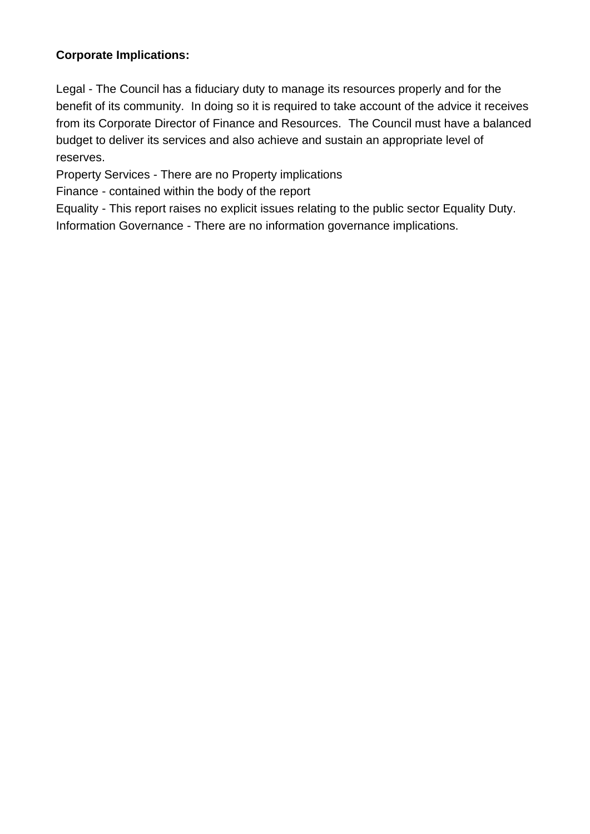# **Corporate Implications:**

Legal - The Council has a fiduciary duty to manage its resources properly and for the benefit of its community. In doing so it is required to take account of the advice it receives from its Corporate Director of Finance and Resources. The Council must have a balanced budget to deliver its services and also achieve and sustain an appropriate level of reserves.

Property Services - There are no Property implications

Finance - contained within the body of the report

Equality - This report raises no explicit issues relating to the public sector Equality Duty. Information Governance - There are no information governance implications.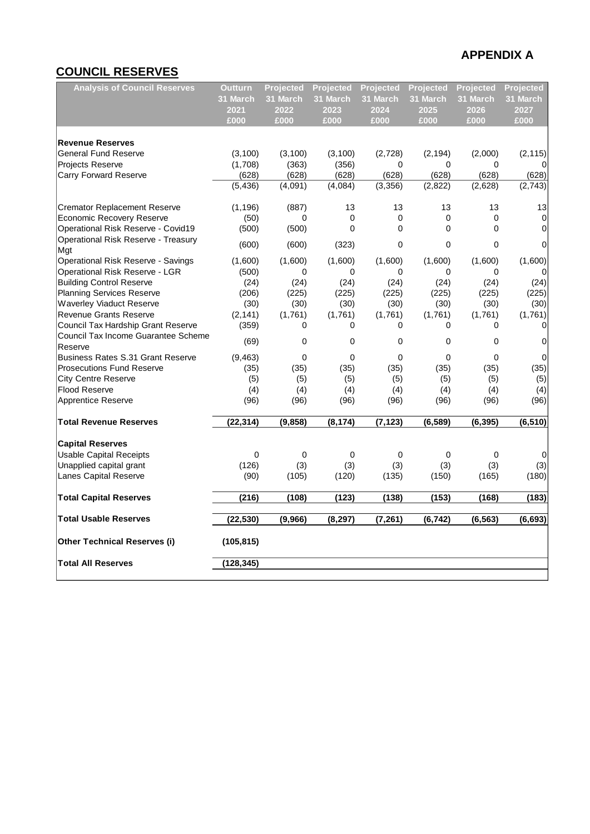# **COUNCIL RESERVES**

| <b>Analysis of Council Reserves</b>      | Outturn<br>31 March | <b>Projected</b><br>31 March | Projected<br>31 March | <b>Projected</b><br>31 March | <b>Projected</b><br>31 March | <b>Projected</b><br>31 March | Projected<br>31 March |
|------------------------------------------|---------------------|------------------------------|-----------------------|------------------------------|------------------------------|------------------------------|-----------------------|
|                                          | 2021                | 2022                         | 2023                  | 2024                         | 2025                         | 2026                         | 2027                  |
|                                          | £000                | £000                         | £000                  | £000                         | £000                         | £000                         | £000                  |
|                                          |                     |                              |                       |                              |                              |                              |                       |
| <b>Revenue Reserves</b>                  |                     |                              |                       |                              |                              |                              |                       |
| <b>General Fund Reserve</b>              | (3, 100)            | (3, 100)                     | (3, 100)              | (2,728)                      | (2, 194)                     | (2,000)                      | (2, 115)              |
| <b>Projects Reserve</b>                  | (1,708)             | (363)                        | (356)                 | 0                            | 0                            | 0                            |                       |
| <b>Carry Forward Reserve</b>             | (628)               | (628)                        | (628)                 | (628)                        | (628)                        | (628)                        | (628)                 |
|                                          | (5, 436)            | (4,091)                      | (4,084)               | (3, 356)                     | (2,822)                      | (2,628)                      | (2,743)               |
| <b>Cremator Replacement Reserve</b>      | (1, 196)            | (887)                        | 13                    | 13                           | 13                           | 13                           | 13                    |
| Economic Recovery Reserve                | (50)                | 0                            | 0                     | 0                            | $\mathbf 0$                  | $\mathbf 0$                  | $\mathbf 0$           |
| Operational Risk Reserve - Covid19       | (500)               | (500)                        | $\mathbf 0$           | $\mathbf 0$                  | 0                            | $\Omega$                     | $\Omega$              |
| Operational Risk Reserve - Treasury      | (600)               | (600)                        | (323)                 | $\mathbf 0$                  | $\mathbf 0$                  | $\Omega$                     | 0                     |
| Mgt                                      |                     |                              |                       |                              |                              |                              |                       |
| Operational Risk Reserve - Savings       | (1,600)             | (1,600)                      | (1,600)               | (1,600)                      | (1,600)                      | (1,600)                      | (1,600)               |
| Operational Risk Reserve - LGR           | (500)               | 0                            | 0                     | 0                            | 0                            | $\Omega$                     | <sup>0</sup>          |
| <b>Building Control Reserve</b>          | (24)                | (24)                         | (24)                  | (24)                         | (24)                         | (24)                         | (24)                  |
| <b>Planning Services Reserve</b>         | (206)               | (225)                        | (225)                 | (225)                        | (225)                        | (225)                        | (225)                 |
| <b>Waverley Viaduct Reserve</b>          | (30)                | (30)                         | (30)                  | (30)                         | (30)                         | (30)                         | (30)                  |
| <b>Revenue Grants Reserve</b>            | (2, 141)            | (1,761)                      | (1,761)               | (1,761)                      | (1,761)                      | (1,761)                      | (1,761)               |
| Council Tax Hardship Grant Reserve       | (359)               | $\Omega$                     | $\Omega$              | 0                            | $\Omega$                     | 0                            | 0                     |
| Council Tax Income Guarantee Scheme      | (69)                | $\Omega$                     | 0                     | $\mathbf 0$                  | $\mathbf 0$                  | $\Omega$                     | 0                     |
| Reserve                                  |                     |                              |                       |                              |                              |                              |                       |
| <b>Business Rates S.31 Grant Reserve</b> | (9, 463)            | 0                            | 0                     | 0                            | 0                            | 0                            | $\mathbf 0$           |
| <b>Prosecutions Fund Reserve</b>         | (35)                | (35)                         | (35)                  | (35)                         | (35)                         | (35)                         | (35)                  |
| <b>City Centre Reserve</b>               | (5)                 | (5)                          | (5)                   | (5)                          | (5)                          | (5)                          | (5)                   |
| <b>Flood Reserve</b>                     | (4)                 | (4)                          | (4)                   | (4)                          | (4)                          | (4)                          | (4)                   |
| Apprentice Reserve                       | (96)                | (96)                         | (96)                  | (96)                         | (96)                         | (96)                         | (96)                  |
| <b>Total Revenue Reserves</b>            | (22, 314)           | (9, 858)                     | (8, 174)              | (7, 123)                     | (6, 589)                     | (6, 395)                     | (6, 510)              |
| <b>Capital Reserves</b>                  |                     |                              |                       |                              |                              |                              |                       |
| <b>Usable Capital Receipts</b>           | $\mathbf 0$         | $\mathbf 0$                  | 0                     | 0                            | 0                            | $\mathbf 0$                  | 0                     |
| Unapplied capital grant                  | (126)               | (3)                          | (3)                   | (3)                          | (3)                          | (3)                          | (3)                   |
| Lanes Capital Reserve                    | (90)                | (105)                        | (120)                 | (135)                        | (150)                        | (165)                        | (180)                 |
| <b>Total Capital Reserves</b>            | (216)               | (108)                        | (123)                 | (138)                        | (153)                        | (168)                        | (183)                 |
| <b>Total Usable Reserves</b>             | (22, 530)           | (9,966)                      | (8, 297)              | (7, 261)                     | (6, 742)                     | (6, 563)                     | (6, 693)              |
| Other Technical Reserves (i)             | (105, 815)          |                              |                       |                              |                              |                              |                       |
| <b>Total All Reserves</b>                | (128, 345)          |                              |                       |                              |                              |                              |                       |
|                                          |                     |                              |                       |                              |                              |                              |                       |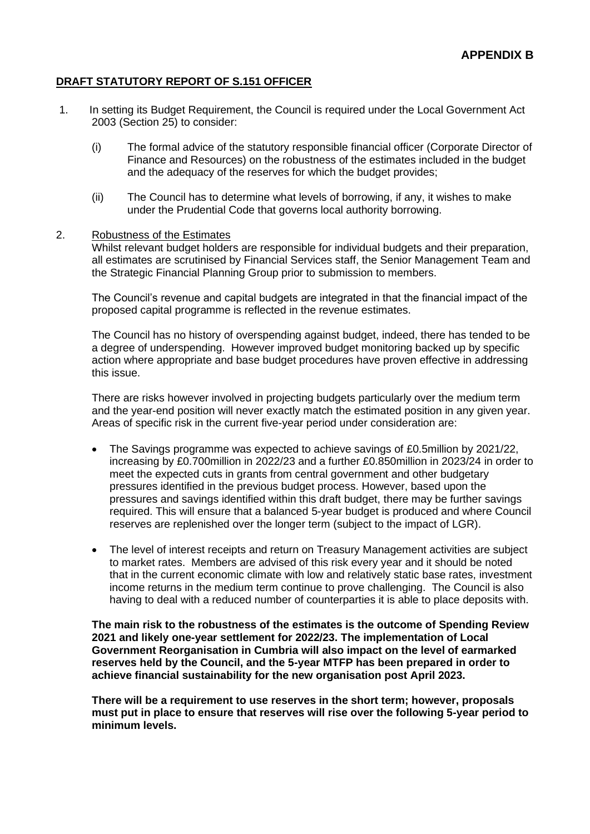#### **DRAFT STATUTORY REPORT OF S.151 OFFICER**

- 1. In setting its Budget Requirement, the Council is required under the Local Government Act 2003 (Section 25) to consider:
	- (i) The formal advice of the statutory responsible financial officer (Corporate Director of Finance and Resources) on the robustness of the estimates included in the budget and the adequacy of the reserves for which the budget provides;
	- (ii) The Council has to determine what levels of borrowing, if any, it wishes to make under the Prudential Code that governs local authority borrowing.

#### 2. Robustness of the Estimates

Whilst relevant budget holders are responsible for individual budgets and their preparation, all estimates are scrutinised by Financial Services staff, the Senior Management Team and the Strategic Financial Planning Group prior to submission to members.

The Council's revenue and capital budgets are integrated in that the financial impact of the proposed capital programme is reflected in the revenue estimates.

The Council has no history of overspending against budget, indeed, there has tended to be a degree of underspending. However improved budget monitoring backed up by specific action where appropriate and base budget procedures have proven effective in addressing this issue.

There are risks however involved in projecting budgets particularly over the medium term and the year-end position will never exactly match the estimated position in any given year. Areas of specific risk in the current five-year period under consideration are:

- The Savings programme was expected to achieve savings of £0.5million by 2021/22, increasing by £0.700million in 2022/23 and a further £0.850million in 2023/24 in order to meet the expected cuts in grants from central government and other budgetary pressures identified in the previous budget process. However, based upon the pressures and savings identified within this draft budget, there may be further savings required. This will ensure that a balanced 5-year budget is produced and where Council reserves are replenished over the longer term (subject to the impact of LGR).
- The level of interest receipts and return on Treasury Management activities are subject to market rates. Members are advised of this risk every year and it should be noted that in the current economic climate with low and relatively static base rates, investment income returns in the medium term continue to prove challenging. The Council is also having to deal with a reduced number of counterparties it is able to place deposits with.

**The main risk to the robustness of the estimates is the outcome of Spending Review 2021 and likely one-year settlement for 2022/23. The implementation of Local Government Reorganisation in Cumbria will also impact on the level of earmarked reserves held by the Council, and the 5-year MTFP has been prepared in order to achieve financial sustainability for the new organisation post April 2023.** 

**There will be a requirement to use reserves in the short term; however, proposals must put in place to ensure that reserves will rise over the following 5-year period to minimum levels.**